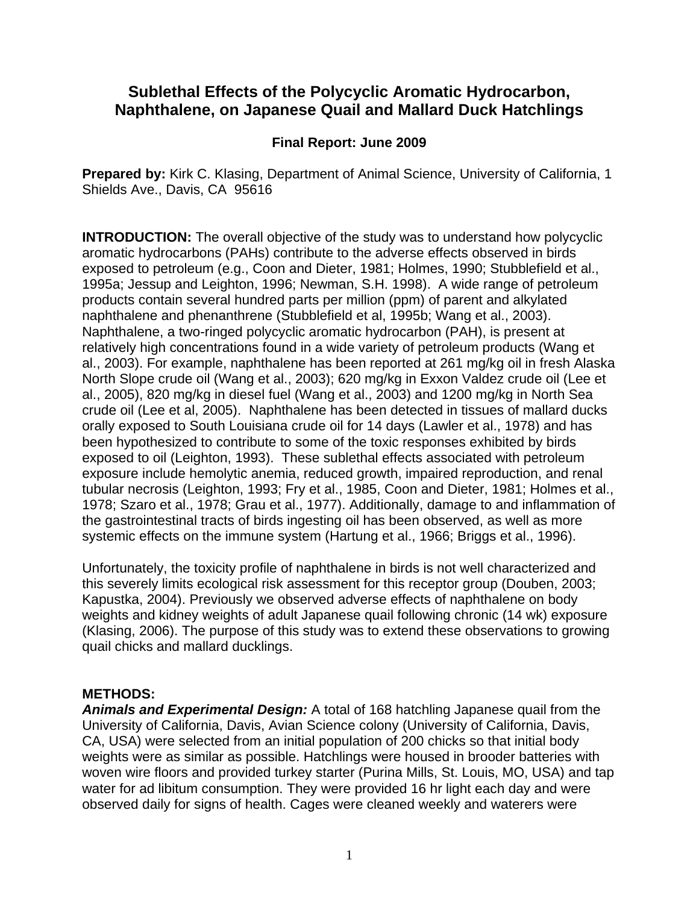# **Sublethal Effects of the Polycyclic Aromatic Hydrocarbon, Naphthalene, on Japanese Quail and Mallard Duck Hatchlings**

### **Final Report: June 2009**

**Prepared by:** Kirk C. Klasing, Department of Animal Science, University of California, 1 Shields Ave., Davis, CA 95616

**INTRODUCTION:** The overall objective of the study was to understand how polycyclic aromatic hydrocarbons (PAHs) contribute to the adverse effects observed in birds exposed to petroleum (e.g., Coon and Dieter, 1981; Holmes, 1990; Stubblefield et al., 1995a; Jessup and Leighton, 1996; Newman, S.H. 1998). A wide range of petroleum products contain several hundred parts per million (ppm) of parent and alkylated naphthalene and phenanthrene (Stubblefield et al, 1995b; Wang et al., 2003). Naphthalene, a two-ringed polycyclic aromatic hydrocarbon (PAH), is present at relatively high concentrations found in a wide variety of petroleum products (Wang et al., 2003). For example, naphthalene has been reported at 261 mg/kg oil in fresh Alaska North Slope crude oil (Wang et al., 2003); 620 mg/kg in Exxon Valdez crude oil (Lee et al., 2005), 820 mg/kg in diesel fuel (Wang et al., 2003) and 1200 mg/kg in North Sea crude oil (Lee et al, 2005). Naphthalene has been detected in tissues of mallard ducks orally exposed to South Louisiana crude oil for 14 days (Lawler et al., 1978) and has been hypothesized to contribute to some of the toxic responses exhibited by birds exposed to oil (Leighton, 1993). These sublethal effects associated with petroleum exposure include hemolytic anemia, reduced growth, impaired reproduction, and renal tubular necrosis (Leighton, 1993; Fry et al., 1985, Coon and Dieter, 1981; Holmes et al., 1978; Szaro et al., 1978; Grau et al., 1977). Additionally, damage to and inflammation of the gastrointestinal tracts of birds ingesting oil has been observed, as well as more systemic effects on the immune system (Hartung et al., 1966; Briggs et al., 1996).

Unfortunately, the toxicity profile of naphthalene in birds is not well characterized and this severely limits ecological risk assessment for this receptor group (Douben, 2003; Kapustka, 2004). Previously we observed adverse effects of naphthalene on body weights and kidney weights of adult Japanese quail following chronic (14 wk) exposure (Klasing, 2006). The purpose of this study was to extend these observations to growing quail chicks and mallard ducklings.

### **METHODS:**

*Animals and Experimental Design:* A total of 168 hatchling Japanese quail from the University of California, Davis, Avian Science colony (University of California, Davis, CA, USA) were selected from an initial population of 200 chicks so that initial body weights were as similar as possible. Hatchlings were housed in brooder batteries with woven wire floors and provided turkey starter (Purina Mills, St. Louis, MO, USA) and tap water for ad libitum consumption. They were provided 16 hr light each day and were observed daily for signs of health. Cages were cleaned weekly and waterers were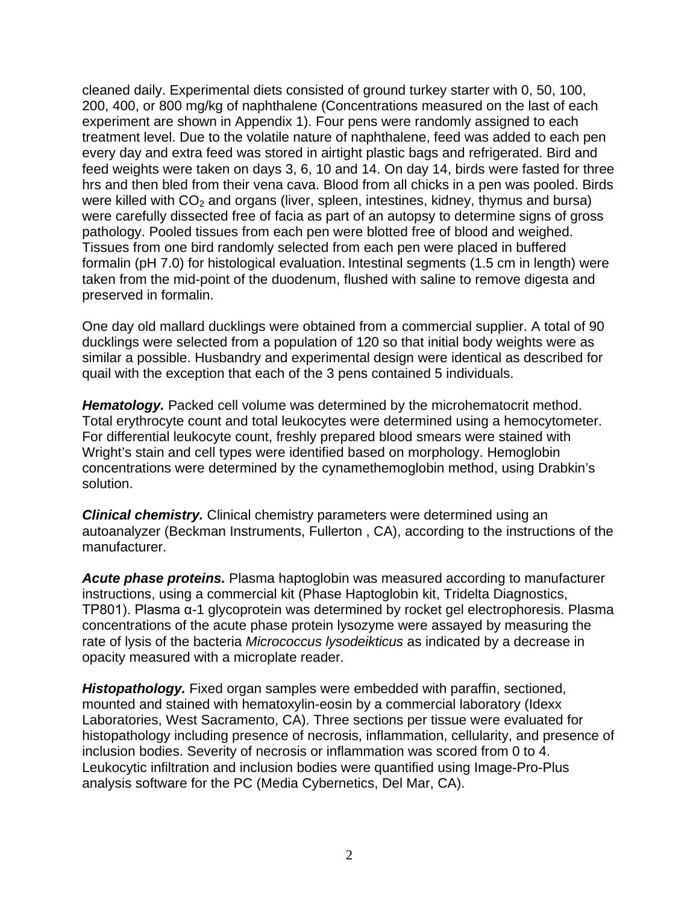cleaned daily. Experimental diets consisted of ground turkey starter with 0, 50, 100, 200, 400, or 800 mg/kg of naphthalene (Concentrations measured on the last of each experiment are shown in Appendix 1). Four pens were randomly assigned to each treatment level. Due to the volatile nature of naphthalene, feed was added to each pen every day and extra feed was stored in airtight plastic bags and refrigerated. Bird and feed weights were taken on days 3, 6, 10 and 14. On day 14, birds were fasted for three hrs and then bled from their vena cava. Blood from all chicks in a pen was pooled. Birds were killed with  $CO<sub>2</sub>$  and organs (liver, spleen, intestines, kidney, thymus and bursa) were carefully dissected free of facia as part of an autopsy to determine signs of gross pathology. Pooled tissues from each pen were blotted free of blood and weighed. Tissues from one bird randomly selected from each pen were placed in buffered formalin (pH 7.0) for histological evaluation. Intestinal segments (1.5 cm in length) were taken from the mid-point of the duodenum, flushed with saline to remove digesta and preserved in formalin.

One day old mallard ducklings were obtained from a commercial supplier. A total of 90 ducklings were selected from a population of 120 so that initial body weights were as similar a possible. Husbandry and experimental design were identical as described for quail with the exception that each of the 3 pens contained 5 individuals.

**Hematology.** Packed cell volume was determined by the microhematocrit method. Total erythrocyte count and total leukocytes were determined using a hemocytometer. For differential leukocyte count, freshly prepared blood smears were stained with Wright's stain and cell types were identified based on morphology. Hemoglobin concentrations were determined by the cynamethemoglobin method, using Drabkin's solution.

*Clinical chemistry.* Clinical chemistry parameters were determined using an autoanalyzer (Beckman Instruments, Fullerton , CA), according to the instructions of the manufacturer.

*Acute phase proteins.* Plasma haptoglobin was measured according to manufacturer instructions, using a commercial kit (Phase Haptoglobin kit, Tridelta Diagnostics, TP801). Plasma α-1 glycoprotein was determined by rocket gel electrophoresis. Plasma concentrations of the acute phase protein lysozyme were assayed by measuring the rate of lysis of the bacteria *Micrococcus lysodeikticus* as indicated by a decrease in opacity measured with a microplate reader.

*Histopathology.* Fixed organ samples were embedded with paraffin, sectioned, mounted and stained with hematoxylin-eosin by a commercial laboratory (Idexx Laboratories, West Sacramento, CA). Three sections per tissue were evaluated for histopathology including presence of necrosis, inflammation, cellularity, and presence of inclusion bodies. Severity of necrosis or inflammation was scored from 0 to 4. Leukocytic infiltration and inclusion bodies were quantified using Image-Pro-Plus analysis software for the PC (Media Cybernetics, Del Mar, CA).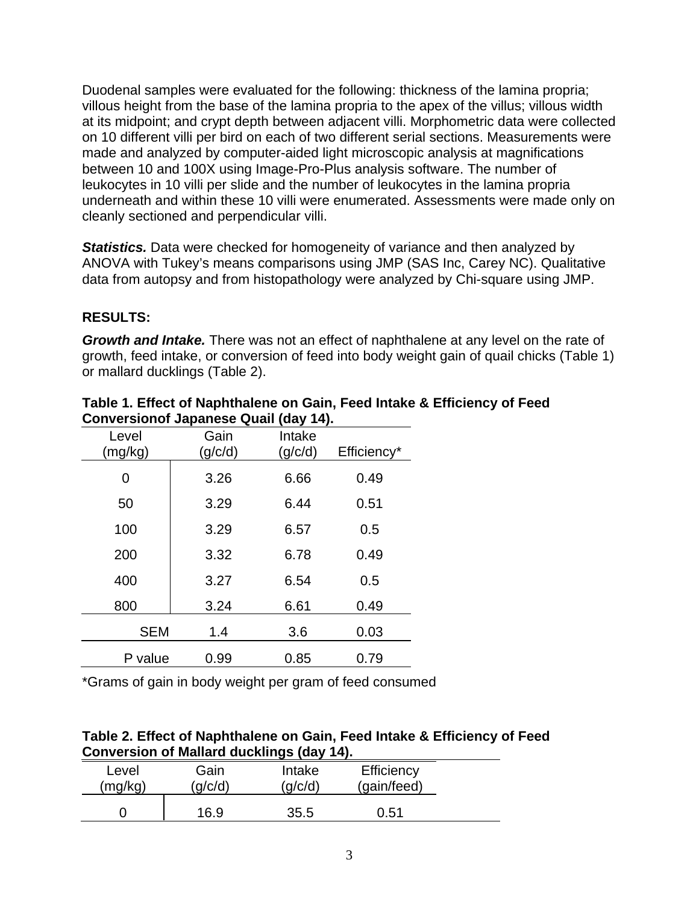Duodenal samples were evaluated for the following: thickness of the lamina propria; villous height from the base of the lamina propria to the apex of the villus; villous width at its midpoint; and crypt depth between adjacent villi. Morphometric data were collected on 10 different villi per bird on each of two different serial sections. Measurements were made and analyzed by computer-aided light microscopic analysis at magnifications between 10 and 100X using Image-Pro-Plus analysis software. The number of leukocytes in 10 villi per slide and the number of leukocytes in the lamina propria underneath and within these 10 villi were enumerated. Assessments were made only on cleanly sectioned and perpendicular villi.

**Statistics.** Data were checked for homogeneity of variance and then analyzed by ANOVA with Tukey's means comparisons using JMP (SAS Inc, Carey NC). Qualitative data from autopsy and from histopathology were analyzed by Chi-square using JMP.

### **RESULTS:**

*Growth and Intake.* There was not an effect of naphthalene at any level on the rate of growth, feed intake, or conversion of feed into body weight gain of quail chicks (Table 1) or mallard ducklings (Table 2).

| Level<br>(mg/kg) | Gain<br>(g/c/d) | Intake<br>(g/c/d) | Efficiency* |
|------------------|-----------------|-------------------|-------------|
| 0                | 3.26            | 6.66              | 0.49        |
| 50               | 3.29            | 6.44              | 0.51        |
| 100              | 3.29            | 6.57              | 0.5         |
| 200              | 3.32            | 6.78              | 0.49        |
| 400              | 3.27            | 6.54              | 0.5         |
| 800              | 3.24            | 6.61              | 0.49        |
| <b>SEM</b>       | 1.4             | 3.6               | 0.03        |
| P value          | 0.99            | 0.85              | 0.79        |

**Table 1. Effect of Naphthalene on Gain, Feed Intake & Efficiency of Feed Conversionof Japanese Quail (day 14).**

\*Grams of gain in body weight per gram of feed consumed

| Table 2. Effect of Naphthalene on Gain, Feed Intake & Efficiency of Feed |  |
|--------------------------------------------------------------------------|--|
| Conversion of Mallard ducklings (day 14).                                |  |

| Level   | Gain  | Intake | Efficiency  |
|---------|-------|--------|-------------|
| (mg/kg) | q/c/d | q/c/d  | (gain/feed) |
|         | 16.9  | 35.5   | 0.51        |
|         |       |        |             |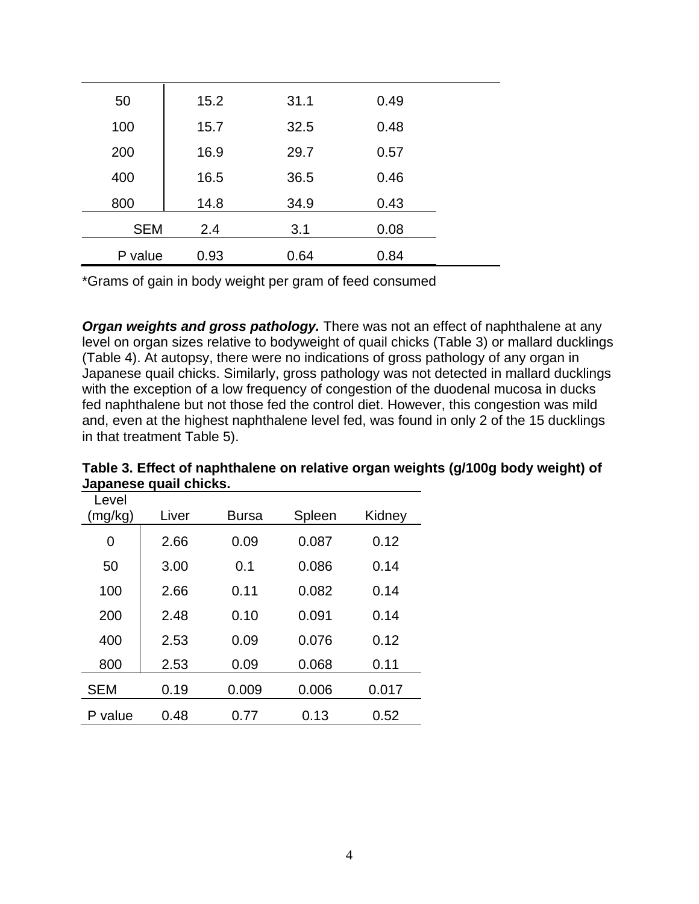| 50         | 15.2 | 31.1 | 0.49 |  |
|------------|------|------|------|--|
| 100        | 15.7 | 32.5 | 0.48 |  |
| 200        | 16.9 | 29.7 | 0.57 |  |
| 400        | 16.5 | 36.5 | 0.46 |  |
| 800        | 14.8 | 34.9 | 0.43 |  |
| <b>SEM</b> | 2.4  | 3.1  | 0.08 |  |
| P value    | 0.93 | 0.64 | 0.84 |  |

\*Grams of gain in body weight per gram of feed consumed

*Organ weights and gross pathology.* There was not an effect of naphthalene at any level on organ sizes relative to bodyweight of quail chicks (Table 3) or mallard ducklings (Table 4). At autopsy, there were no indications of gross pathology of any organ in Japanese quail chicks. Similarly, gross pathology was not detected in mallard ducklings with the exception of a low frequency of congestion of the duodenal mucosa in ducks fed naphthalene but not those fed the control diet. However, this congestion was mild and, even at the highest naphthalene level fed, was found in only 2 of the 15 ducklings in that treatment Table 5).

| Level<br>(mg/kg) | Liver<br><b>Bursa</b> |       | Spleen | Kidney |
|------------------|-----------------------|-------|--------|--------|
| 0                | 2.66                  | 0.09  | 0.087  | 0.12   |
| 50               | 3.00                  | 0.1   | 0.086  | 0.14   |
| 100              | 2.66                  | 0.11  | 0.082  | 0.14   |
| 200              | 2.48                  | 0.10  | 0.091  | 0.14   |
| 400              | 2.53                  | 0.09  | 0.076  | 0.12   |
| 800              | 2.53                  | 0.09  | 0.068  | 0.11   |
| <b>SEM</b>       | 0.19                  | 0.009 | 0.006  | 0.017  |
| P value          | 0.48                  | 0.77  | 0.13   | 0.52   |

**Table 3. Effect of naphthalene on relative organ weights (g/100g body weight) of Japanese quail chicks.**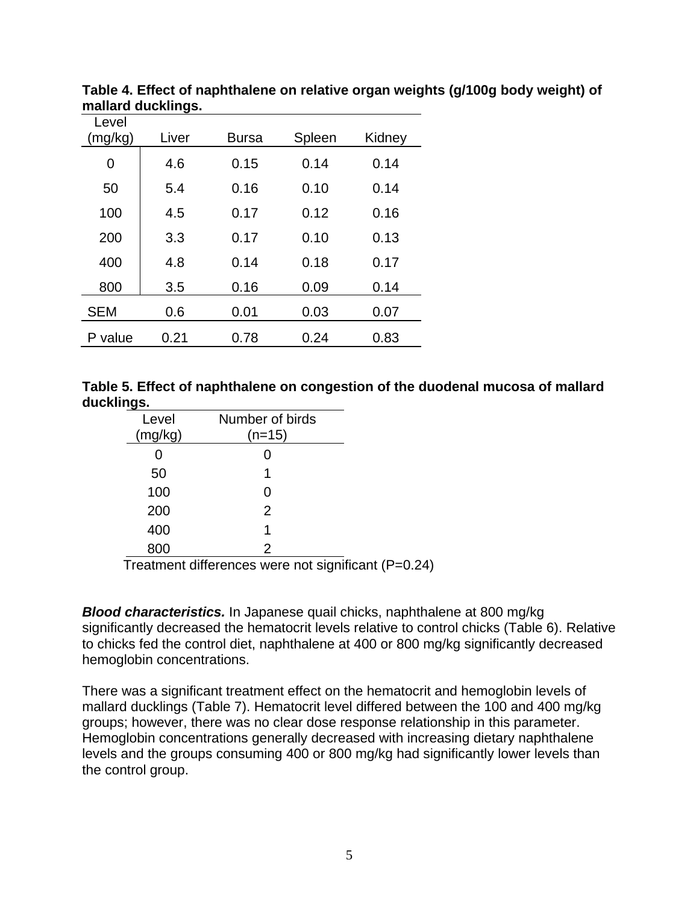| Level<br>(mg/kg) | Liver | <b>Bursa</b> | Spleen | Kidney |
|------------------|-------|--------------|--------|--------|
| $\overline{0}$   | 4.6   | 0.15         | 0.14   | 0.14   |
| 50               | 5.4   | 0.16         | 0.10   | 0.14   |
| 100              | 4.5   | 0.17         | 0.12   | 0.16   |
| 200              | 3.3   | 0.17         | 0.10   | 0.13   |
| 400              | 4.8   | 0.14         | 0.18   | 0.17   |
| 800              | 3.5   | 0.16         | 0.09   | 0.14   |
| <b>SEM</b>       | 0.6   | 0.01         | 0.03   | 0.07   |
| P value          | 0.21  | 0.78         | 0.24   | 0.83   |

**Table 4. Effect of naphthalene on relative organ weights (g/100g body weight) of mallard ducklings.** 

|            | Table 5. Effect of naphthalene on congestion of the duodenal mucosa of mallard |
|------------|--------------------------------------------------------------------------------|
| ducklings. |                                                                                |

| Level   | Number of birds |         |
|---------|-----------------|---------|
| (mg/kg) | (n=15)          |         |
| ი       |                 |         |
| 50      |                 |         |
| 100     |                 |         |
| 200     | 2               |         |
| 400     |                 |         |
| 800     | 2               |         |
|         | .<br>.          | $\cdot$ |

Treatment differences were not significant (P=0.24)

*Blood characteristics.* In Japanese quail chicks, naphthalene at 800 mg/kg significantly decreased the hematocrit levels relative to control chicks (Table 6). Relative to chicks fed the control diet, naphthalene at 400 or 800 mg/kg significantly decreased hemoglobin concentrations.

There was a significant treatment effect on the hematocrit and hemoglobin levels of mallard ducklings (Table 7). Hematocrit level differed between the 100 and 400 mg/kg groups; however, there was no clear dose response relationship in this parameter. Hemoglobin concentrations generally decreased with increasing dietary naphthalene levels and the groups consuming 400 or 800 mg/kg had significantly lower levels than the control group.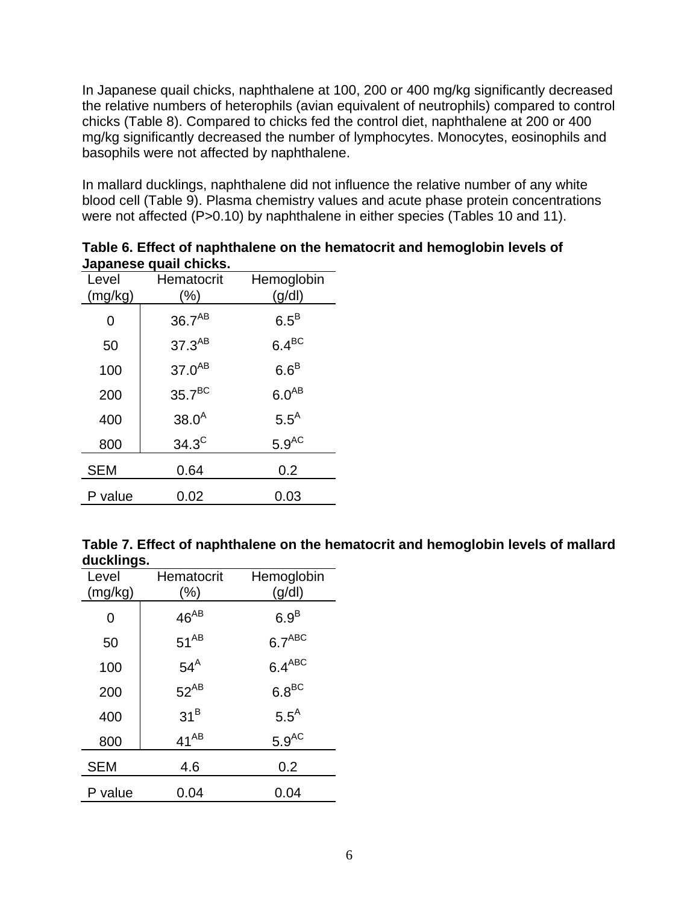In Japanese quail chicks, naphthalene at 100, 200 or 400 mg/kg significantly decreased the relative numbers of heterophils (avian equivalent of neutrophils) compared to control chicks (Table 8). Compared to chicks fed the control diet, naphthalene at 200 or 400 mg/kg significantly decreased the number of lymphocytes. Monocytes, eosinophils and basophils were not affected by naphthalene.

In mallard ducklings, naphthalene did not influence the relative number of any white blood cell (Table 9). Plasma chemistry values and acute phase protein concentrations were not affected (P>0.10) by naphthalene in either species (Tables 10 and 11).

|            | vupunooo quun vinono. |                  |  |  |  |
|------------|-----------------------|------------------|--|--|--|
| Level      | Hematocrit            | Hemoglobin       |  |  |  |
| (mg/kg)    | (%)                   | (g/dl)           |  |  |  |
| 0          | $36.7^{AB}$           | $6.5^B$          |  |  |  |
| 50         | $37.3^{AB}$           | $6.4^{BC}$       |  |  |  |
| 100        | $37.0^{AB}$           | $6.6^B$          |  |  |  |
| 200        | 35.7 <sup>BC</sup>    | $6.0^{AB}$       |  |  |  |
| 400        | $38.0^{A}$            | $5.5^{\text{A}}$ |  |  |  |
| 800        | $34.3^C$              | $5.9^{\rm AC}$   |  |  |  |
| <b>SEM</b> | 0.64                  | 0.2              |  |  |  |
| P value    | 0.02                  | 0.03             |  |  |  |

**Table 6. Effect of naphthalene on the hematocrit and hemoglobin levels of Japanese quail chicks.**

|            | Table 7. Effect of naphthalene on the hematocrit and hemoglobin levels of mallard |
|------------|-----------------------------------------------------------------------------------|
| ducklings. |                                                                                   |

| Level<br>(mg/kg) | Hematocrit<br>$(\% )$ | Hemoglobin<br>(g/dl) |
|------------------|-----------------------|----------------------|
| 0                | $46^{AB}$             | 6.9 <sup>B</sup>     |
| 50               | $51^{AB}$             | 6.7 <sup>ABC</sup>   |
| 100              | $54^A$                | $6.4^{ABC}$          |
| 200              | $52^{AB}$             | $6.8^{\rm BC}$       |
| 400              | 31 <sup>B</sup>       | $5.5^A$              |
| 800              | $41^{AB}$             | $5.9^{AC}$           |
| <b>SEM</b>       | 4.6                   | 0.2                  |
| P value          | 0.04                  | 0.04                 |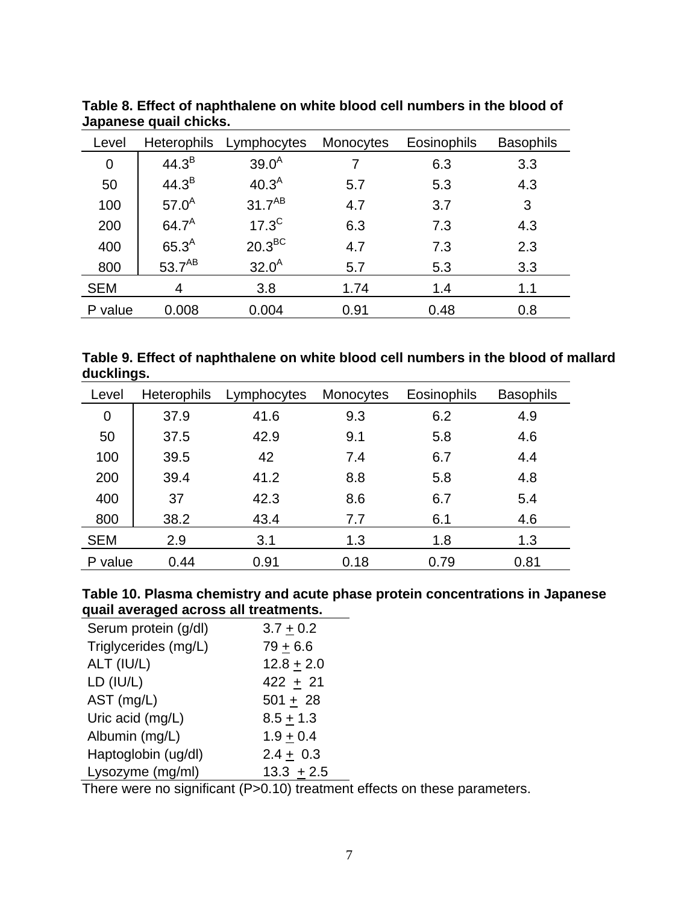| Level       | <b>Heterophils</b> | Lymphocytes        | Monocytes | Eosinophils | <b>Basophils</b> |
|-------------|--------------------|--------------------|-----------|-------------|------------------|
| $\mathbf 0$ | $44.3^{B}$         | $39.0^{A}$         | 7         | 6.3         | 3.3              |
| 50          | 44.3 <sup>B</sup>  | 40.3 <sup>A</sup>  | 5.7       | 5.3         | 4.3              |
| 100         | $57.0^{A}$         | $31.7^{AB}$        | 4.7       | 3.7         | 3                |
| 200         | $64.7^A$           | $17.3^{\circ}$     | 6.3       | 7.3         | 4.3              |
| 400         | 65.3 <sup>A</sup>  | $20.3^{\text{BC}}$ | 4.7       | 7.3         | 2.3              |
| 800         | $53.7^{AB}$        | $32.0^{A}$         | 5.7       | 5.3         | 3.3              |
| <b>SEM</b>  | 4                  | 3.8                | 1.74      | 1.4         | 1.1              |
| P value     | 0.008              | 0.004              | 0.91      | 0.48        | 0.8              |

**Table 8. Effect of naphthalene on white blood cell numbers in the blood of Japanese quail chicks.**

**Table 9. Effect of naphthalene on white blood cell numbers in the blood of mallard ducklings.** 

| Level      | <b>Heterophils</b> | Lymphocytes | <b>Monocytes</b> | <b>Eosinophils</b> | <b>Basophils</b> |
|------------|--------------------|-------------|------------------|--------------------|------------------|
| 0          | 37.9               | 41.6        | 9.3              | 6.2                | 4.9              |
| 50         | 37.5               | 42.9        | 9.1              | 5.8                | 4.6              |
| 100        | 39.5               | 42          | 7.4              | 6.7                | 4.4              |
| 200        | 39.4               | 41.2        | 8.8              | 5.8                | 4.8              |
| 400        | 37                 | 42.3        | 8.6              | 6.7                | 5.4              |
| 800        | 38.2               | 43.4        | 7.7              | 6.1                | 4.6              |
| <b>SEM</b> | 2.9                | 3.1         | 1.3              | 1.8                | 1.3              |
| P value    | 0.44               | 0.91        | 0.18             | 0.79               | 0.81             |

## **Table 10. Plasma chemistry and acute phase protein concentrations in Japanese quail averaged across all treatments.**

| Serum protein (g/dl) | $3.7 + 0.2$   |
|----------------------|---------------|
| Triglycerides (mg/L) | $79 + 6.6$    |
| ALT (IU/L)           | $12.8 + 2.0$  |
| LD (IU/L)            | $422 + 21$    |
| AST (mg/L)           | $501 + 28$    |
| Uric acid (mg/L)     | $8.5 + 1.3$   |
| Albumin (mg/L)       | $1.9 + 0.4$   |
| Haptoglobin (ug/dl)  | $2.4 \pm 0.3$ |
| Lysozyme (mg/ml)     | $13.3 + 2.5$  |

There were no significant (P>0.10) treatment effects on these parameters.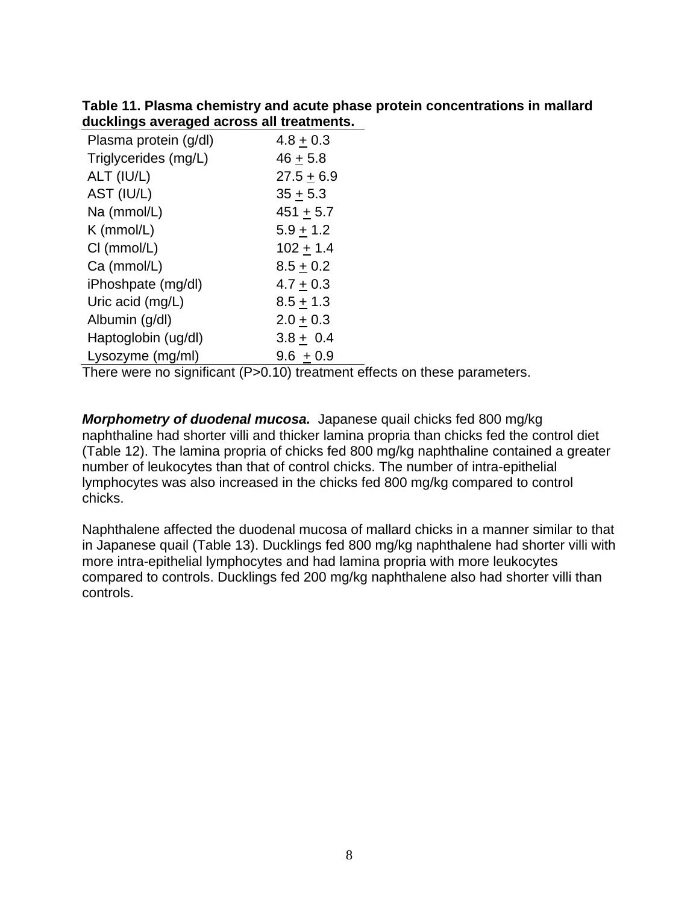**Table 11. Plasma chemistry and acute phase protein concentrations in mallard ducklings averaged across all treatments.**

| Plasma protein (g/dl) | $4.8 + 0.3$  |
|-----------------------|--------------|
| Triglycerides (mg/L)  | $46 + 5.8$   |
| ALT (IU/L)            | $27.5 + 6.9$ |
| AST (IU/L)            | $35 + 5.3$   |
| Na (mmol/L)           | $451 + 5.7$  |
| $K$ (mmol/L)          | $5.9 + 1.2$  |
| CI (mmol/L)           | $102 + 1.4$  |
| Ca (mmol/L)           | $8.5 + 0.2$  |
| iPhoshpate (mg/dl)    | $4.7 + 0.3$  |
| Uric acid (mg/L)      | $8.5 + 1.3$  |
| Albumin (g/dl)        | $2.0 + 0.3$  |
| Haptoglobin (ug/dl)   | $3.8 + 0.4$  |
| Lysozyme (mg/ml)      | $9.6 + 0.9$  |

There were no significant (P>0.10) treatment effects on these parameters.

*Morphometry of duodenal mucosa.* Japanese quail chicks fed 800 mg/kg naphthaline had shorter villi and thicker lamina propria than chicks fed the control diet (Table 12). The lamina propria of chicks fed 800 mg/kg naphthaline contained a greater number of leukocytes than that of control chicks. The number of intra-epithelial lymphocytes was also increased in the chicks fed 800 mg/kg compared to control chicks.

Naphthalene affected the duodenal mucosa of mallard chicks in a manner similar to that in Japanese quail (Table 13). Ducklings fed 800 mg/kg naphthalene had shorter villi with more intra-epithelial lymphocytes and had lamina propria with more leukocytes compared to controls. Ducklings fed 200 mg/kg naphthalene also had shorter villi than controls.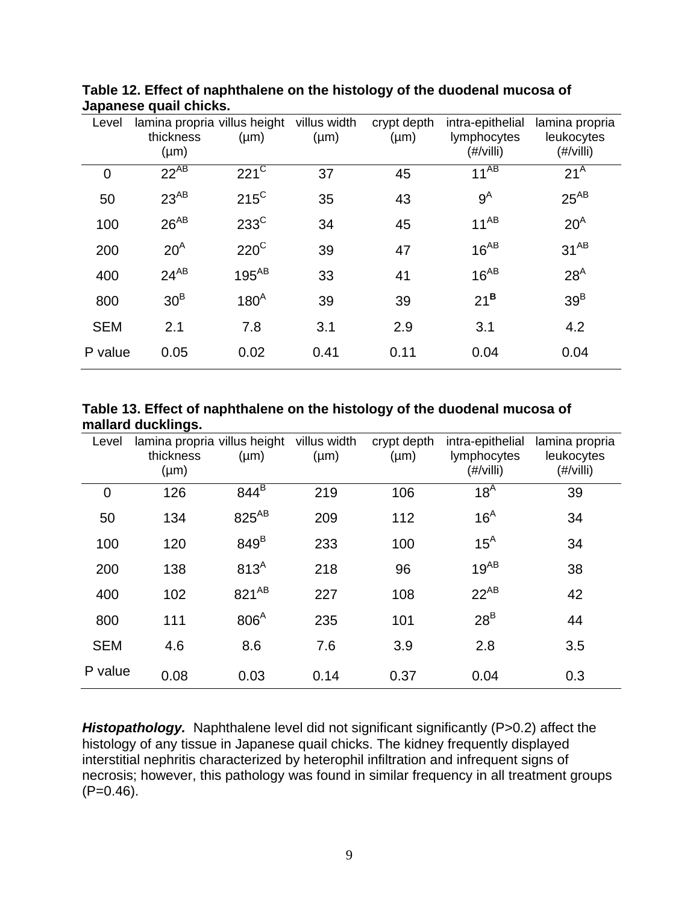| Level       | lamina propria villus height<br>thickness<br>$(\mu m)$ | $(\mu m)$            | villus width<br>$(\mu m)$ | crypt depth<br>$(\mu m)$ | intra-epithelial<br>lymphocytes<br>$(\#/$ villi $)$ | lamina propria<br>leukocytes<br>$(\#/$ villi $)$ |
|-------------|--------------------------------------------------------|----------------------|---------------------------|--------------------------|-----------------------------------------------------|--------------------------------------------------|
| $\mathbf 0$ | $22^{AB}$                                              | $221^{\overline{C}}$ | 37                        | 45                       | $11^{AB}$                                           | 21 <sup>A</sup>                                  |
| 50          | $23^{AB}$                                              | $215^{\circ}$        | 35                        | 43                       | $9^A$                                               | $25^{AB}$                                        |
| 100         | $26^{AB}$                                              | $233^{\circ}$        | 34                        | 45                       | $11^{AB}$                                           | $20^A$                                           |
| 200         | $20^A$                                                 | $220^{\circ}$        | 39                        | 47                       | $16^{AB}$                                           | $31^{AB}$                                        |
| 400         | $24^{AB}$                                              | $195^{AB}$           | 33                        | 41                       | $16^{AB}$                                           | 28 <sup>A</sup>                                  |
| 800         | 30 <sup>B</sup>                                        | 180 <sup>A</sup>     | 39                        | 39                       | $21^{\mathsf{B}}$                                   | 39 <sup>B</sup>                                  |
| <b>SEM</b>  | 2.1                                                    | 7.8                  | 3.1                       | 2.9                      | 3.1                                                 | 4.2                                              |
| P value     | 0.05                                                   | 0.02                 | 0.41                      | 0.11                     | 0.04                                                | 0.04                                             |

**Table 12. Effect of naphthalene on the histology of the duodenal mucosa of Japanese quail chicks.**

| Table 13. Effect of naphthalene on the histology of the duodenal mucosa of |  |
|----------------------------------------------------------------------------|--|
| mallard ducklings.                                                         |  |

| Level       | lamina propria villus height<br>thickness<br>$(\mu m)$ | $(\mu m)$         | villus width<br>$(\mu m)$ | crypt depth<br>$(\mu m)$ | intra-epithelial<br>lymphocytes<br>$(\#/$ villi $)$ | lamina propria<br>leukocytes<br>$(\#/$ villi $)$ |
|-------------|--------------------------------------------------------|-------------------|---------------------------|--------------------------|-----------------------------------------------------|--------------------------------------------------|
| $\mathbf 0$ | 126                                                    | $844^B$           | 219                       | 106                      | 18 <sup>A</sup>                                     | 39                                               |
| 50          | 134                                                    | 825 <sup>AB</sup> | 209                       | 112                      | 16 <sup>A</sup>                                     | 34                                               |
| 100         | 120                                                    | 849 <sup>B</sup>  | 233                       | 100                      | $15^A$                                              | 34                                               |
| 200         | 138                                                    | 813 <sup>A</sup>  | 218                       | 96                       | $19^{AB}$                                           | 38                                               |
| 400         | 102                                                    | $821^{AB}$        | 227                       | 108                      | $22^{AB}$                                           | 42                                               |
| 800         | 111                                                    | 806 <sup>A</sup>  | 235                       | 101                      | $28^B$                                              | 44                                               |
| <b>SEM</b>  | 4.6                                                    | 8.6               | 7.6                       | 3.9                      | 2.8                                                 | 3.5                                              |
| P value     | 0.08                                                   | 0.03              | 0.14                      | 0.37                     | 0.04                                                | 0.3                                              |

*Histopathology.* Naphthalene level did not significant significantly (P>0.2) affect the histology of any tissue in Japanese quail chicks. The kidney frequently displayed interstitial nephritis characterized by heterophil infiltration and infrequent signs of necrosis; however, this pathology was found in similar frequency in all treatment groups  $(P=0.46)$ .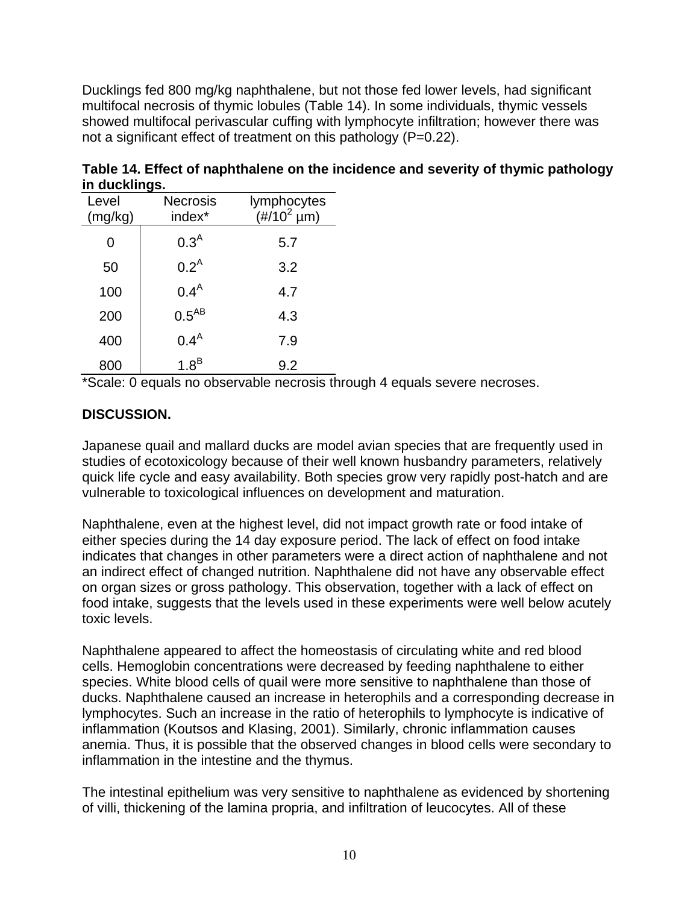Ducklings fed 800 mg/kg naphthalene, but not those fed lower levels, had significant multifocal necrosis of thymic lobules (Table 14). In some individuals, thymic vessels showed multifocal perivascular cuffing with lymphocyte infiltration; however there was not a significant effect of treatment on this pathology (P=0.22).

| Level<br>(mg/kg) | <b>Necrosis</b><br>index* | lymphocytes<br>$(\#/10^2 \,\mathrm{\upmu m})$ |
|------------------|---------------------------|-----------------------------------------------|
| 0                | $0.3^{A}$                 | 5.7                                           |
| 50               | 0.2 <sup>A</sup>          | 3.2                                           |
| 100              | 0.4 <sup>A</sup>          | 4.7                                           |
| 200              | $0.5^{AB}$                | 4.3                                           |
| 400              | 0.4 <sup>A</sup>          | 7.9                                           |
| 800              | $1.8^B$                   | 9.2                                           |

**Table 14. Effect of naphthalene on the incidence and severity of thymic pathology in ducklings.**

\*Scale: 0 equals no observable necrosis through 4 equals severe necroses.

## **DISCUSSION.**

Japanese quail and mallard ducks are model avian species that are frequently used in studies of ecotoxicology because of their well known husbandry parameters, relatively quick life cycle and easy availability. Both species grow very rapidly post-hatch and are vulnerable to toxicological influences on development and maturation.

Naphthalene, even at the highest level, did not impact growth rate or food intake of either species during the 14 day exposure period. The lack of effect on food intake indicates that changes in other parameters were a direct action of naphthalene and not an indirect effect of changed nutrition. Naphthalene did not have any observable effect on organ sizes or gross pathology. This observation, together with a lack of effect on food intake, suggests that the levels used in these experiments were well below acutely toxic levels.

Naphthalene appeared to affect the homeostasis of circulating white and red blood cells. Hemoglobin concentrations were decreased by feeding naphthalene to either species. White blood cells of quail were more sensitive to naphthalene than those of ducks. Naphthalene caused an increase in heterophils and a corresponding decrease in lymphocytes. Such an increase in the ratio of heterophils to lymphocyte is indicative of inflammation (Koutsos and Klasing, 2001). Similarly, chronic inflammation causes anemia. Thus, it is possible that the observed changes in blood cells were secondary to inflammation in the intestine and the thymus.

The intestinal epithelium was very sensitive to naphthalene as evidenced by shortening of villi, thickening of the lamina propria, and infiltration of leucocytes. All of these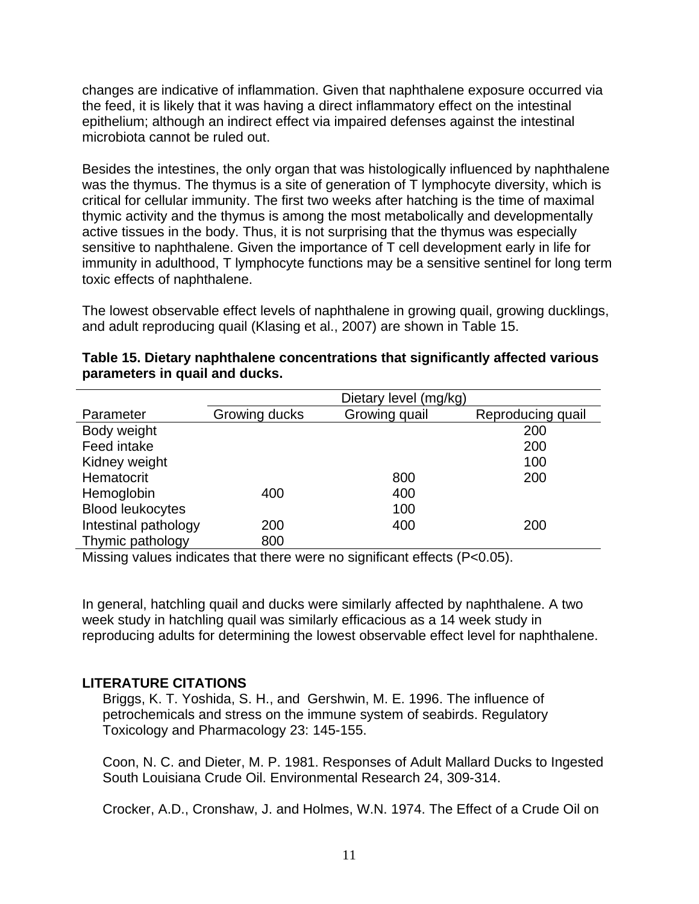changes are indicative of inflammation. Given that naphthalene exposure occurred via the feed, it is likely that it was having a direct inflammatory effect on the intestinal epithelium; although an indirect effect via impaired defenses against the intestinal microbiota cannot be ruled out.

Besides the intestines, the only organ that was histologically influenced by naphthalene was the thymus. The thymus is a site of generation of T lymphocyte diversity, which is critical for cellular immunity. The first two weeks after hatching is the time of maximal thymic activity and the thymus is among the most metabolically and developmentally active tissues in the body. Thus, it is not surprising that the thymus was especially sensitive to naphthalene. Given the importance of T cell development early in life for immunity in adulthood, T lymphocyte functions may be a sensitive sentinel for long term toxic effects of naphthalene.

The lowest observable effect levels of naphthalene in growing quail, growing ducklings, and adult reproducing quail (Klasing et al., 2007) are shown in Table 15.

|                         | Dietary level (mg/kg) |               |                   |
|-------------------------|-----------------------|---------------|-------------------|
| Parameter               | Growing ducks         | Growing quail | Reproducing quail |
| Body weight             |                       |               | 200               |
| Feed intake             |                       |               | 200               |
| Kidney weight           |                       |               | 100               |
| Hematocrit              |                       | 800           | 200               |
| Hemoglobin              | 400                   | 400           |                   |
| <b>Blood leukocytes</b> |                       | 100           |                   |
| Intestinal pathology    | 200                   | 400           | 200               |
| Thymic pathology        | 800                   |               |                   |

#### **Table 15. Dietary naphthalene concentrations that significantly affected various parameters in quail and ducks.**

Missing values indicates that there were no significant effects (P<0.05).

In general, hatchling quail and ducks were similarly affected by naphthalene. A two week study in hatchling quail was similarly efficacious as a 14 week study in reproducing adults for determining the lowest observable effect level for naphthalene.

### **LITERATURE CITATIONS**

Briggs, K. T. Yoshida, S. H., and Gershwin, M. E. 1996. The influence of petrochemicals and stress on the immune system of seabirds. Regulatory Toxicology and Pharmacology 23: 145-155.

Coon, N. C. and Dieter, M. P. 1981. Responses of Adult Mallard Ducks to Ingested South Louisiana Crude Oil. Environmental Research 24, 309-314.

Crocker, A.D., Cronshaw, J. and Holmes, W.N. 1974. The Effect of a Crude Oil on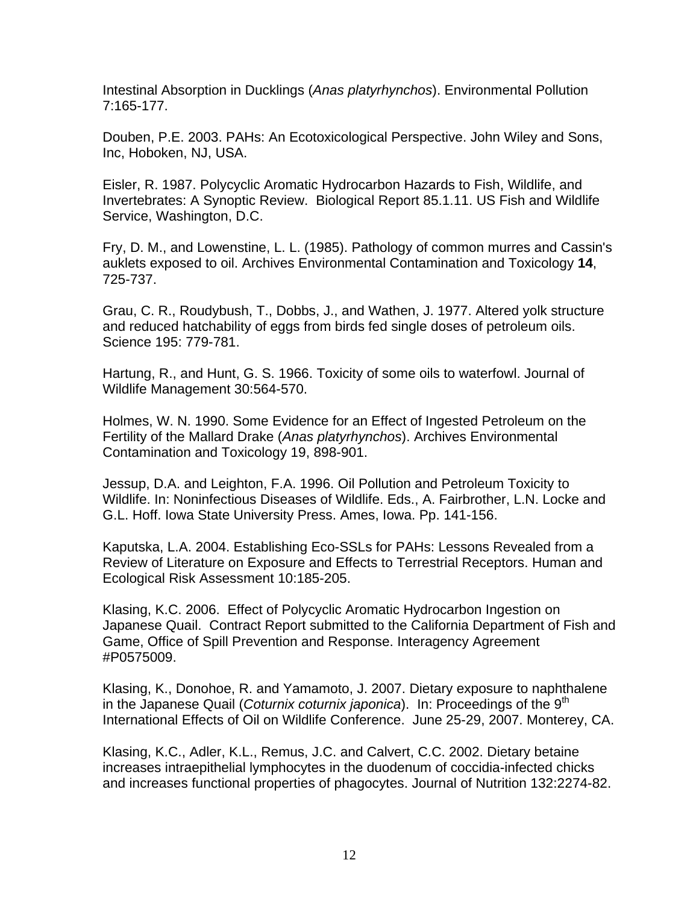Intestinal Absorption in Ducklings (*Anas platyrhynchos*). Environmental Pollution 7:165-177.

Douben, P.E. 2003. PAHs: An Ecotoxicological Perspective. John Wiley and Sons, Inc, Hoboken, NJ, USA.

Eisler, R. 1987. Polycyclic Aromatic Hydrocarbon Hazards to Fish, Wildlife, and Invertebrates: A Synoptic Review. Biological Report 85.1.11. US Fish and Wildlife Service, Washington, D.C.

Fry, D. M., and Lowenstine, L. L. (1985). Pathology of common murres and Cassin's auklets exposed to oil. Archives Environmental Contamination and Toxicology **14**, 725-737.

Grau, C. R., Roudybush, T., Dobbs, J., and Wathen, J. 1977. Altered yolk structure and reduced hatchability of eggs from birds fed single doses of petroleum oils. Science 195: 779-781.

Hartung, R., and Hunt, G. S. 1966. Toxicity of some oils to waterfowl. Journal of Wildlife Management 30:564-570.

Holmes, W. N. 1990. Some Evidence for an Effect of Ingested Petroleum on the Fertility of the Mallard Drake (*Anas platyrhynchos*). Archives Environmental Contamination and Toxicology 19, 898-901.

Jessup, D.A. and Leighton, F.A. 1996. Oil Pollution and Petroleum Toxicity to Wildlife. In: Noninfectious Diseases of Wildlife. Eds., A. Fairbrother, L.N. Locke and G.L. Hoff. Iowa State University Press. Ames, Iowa. Pp. 141-156.

Kaputska, L.A. 2004. Establishing Eco-SSLs for PAHs: Lessons Revealed from a Review of Literature on Exposure and Effects to Terrestrial Receptors. Human and Ecological Risk Assessment 10:185-205.

Klasing, K.C. 2006. Effect of Polycyclic Aromatic Hydrocarbon Ingestion on Japanese Quail. Contract Report submitted to the California Department of Fish and Game, Office of Spill Prevention and Response. Interagency Agreement #P0575009.

Klasing, K., Donohoe, R. and Yamamoto, J. 2007. Dietary exposure to naphthalene in the Japanese Quail (*Coturnix coturnix japonica*). In: Proceedings of the 9<sup>th</sup> International Effects of Oil on Wildlife Conference. June 25-29, 2007. Monterey, CA.

Klasing, K.C., Adler, K.L., Remus, J.C. and Calvert, C.C. 2002. Dietary betaine increases intraepithelial lymphocytes in the duodenum of coccidia-infected chicks and increases functional properties of phagocytes. Journal of Nutrition 132:2274-82.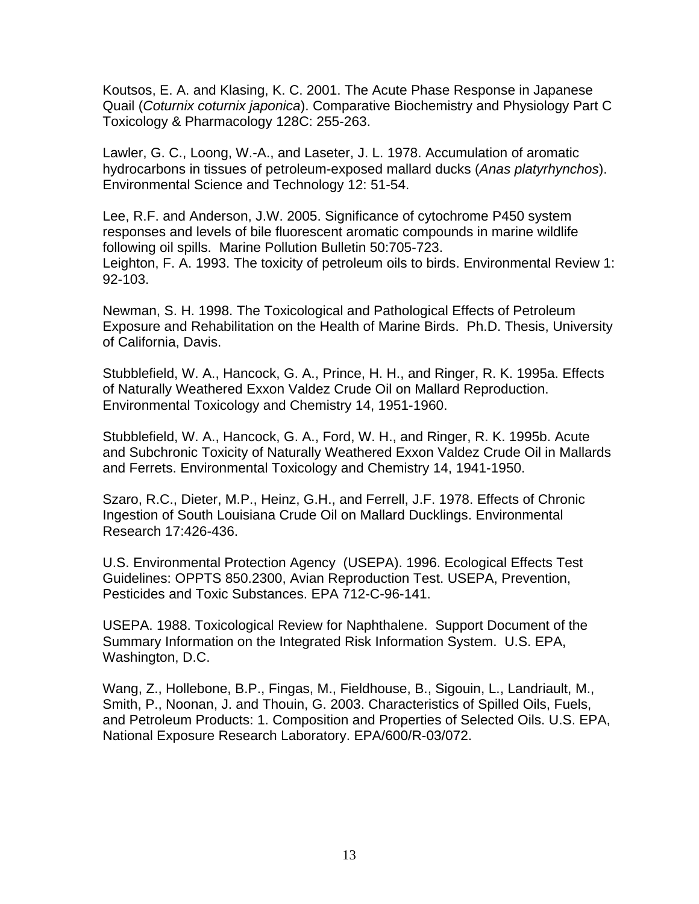Koutsos, E. A. and Klasing, K. C. 2001. The Acute Phase Response in Japanese Quail (*Coturnix coturnix japonica*). Comparative Biochemistry and Physiology Part C Toxicology & Pharmacology 128C: 255-263.

Lawler, G. C., Loong, W.-A., and Laseter, J. L. 1978. Accumulation of aromatic hydrocarbons in tissues of petroleum-exposed mallard ducks (*Anas platyrhynchos*). Environmental Science and Technology 12: 51-54.

Lee, R.F. and Anderson, J.W. 2005. Significance of cytochrome P450 system responses and levels of bile fluorescent aromatic compounds in marine wildlife following oil spills. Marine Pollution Bulletin 50:705-723. Leighton, F. A. 1993. The toxicity of petroleum oils to birds. Environmental Review 1: 92-103.

Newman, S. H. 1998. The Toxicological and Pathological Effects of Petroleum Exposure and Rehabilitation on the Health of Marine Birds. Ph.D. Thesis, University of California, Davis.

Stubblefield, W. A., Hancock, G. A., Prince, H. H., and Ringer, R. K. 1995a. Effects of Naturally Weathered Exxon Valdez Crude Oil on Mallard Reproduction. Environmental Toxicology and Chemistry 14, 1951-1960.

Stubblefield, W. A., Hancock, G. A., Ford, W. H., and Ringer, R. K. 1995b. Acute and Subchronic Toxicity of Naturally Weathered Exxon Valdez Crude Oil in Mallards and Ferrets. Environmental Toxicology and Chemistry 14, 1941-1950.

Szaro, R.C., Dieter, M.P., Heinz, G.H., and Ferrell, J.F. 1978. Effects of Chronic Ingestion of South Louisiana Crude Oil on Mallard Ducklings. Environmental Research 17:426-436.

U.S. Environmental Protection Agency (USEPA). 1996. Ecological Effects Test Guidelines: OPPTS 850.2300, Avian Reproduction Test. USEPA, Prevention, Pesticides and Toxic Substances. EPA 712-C-96-141.

USEPA. 1988. Toxicological Review for Naphthalene. Support Document of the Summary Information on the Integrated Risk Information System. U.S. EPA, Washington, D.C.

Wang, Z., Hollebone, B.P., Fingas, M., Fieldhouse, B., Sigouin, L., Landriault, M., Smith, P., Noonan, J. and Thouin, G. 2003. Characteristics of Spilled Oils, Fuels, and Petroleum Products: 1. Composition and Properties of Selected Oils. U.S. EPA, National Exposure Research Laboratory. EPA/600/R-03/072.